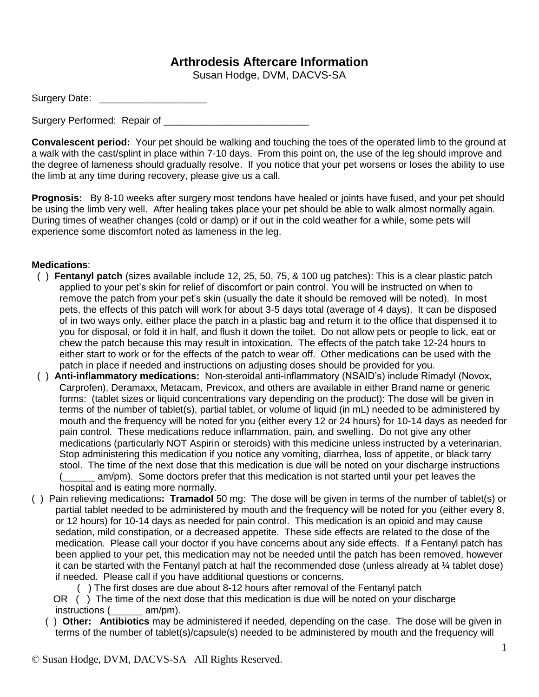## **Arthrodesis Aftercare Information**

Susan Hodge, DVM, DACVS-SA

| Surgery Date: |  |
|---------------|--|
|---------------|--|

Surgery Performed: Repair of

**Convalescent period:** Your pet should be walking and touching the toes of the operated limb to the ground at a walk with the cast/splint in place within 7-10 days. From this point on, the use of the leg should improve and the degree of lameness should gradually resolve. If you notice that your pet worsens or loses the ability to use the limb at any time during recovery, please give us a call.

**Prognosis:** By 8-10 weeks after surgery most tendons have healed or joints have fused, and your pet should be using the limb very well. After healing takes place your pet should be able to walk almost normally again. During times of weather changes (cold or damp) or if out in the cold weather for a while, some pets will experience some discomfort noted as lameness in the leg.

## **Medications**:

- ( ) **Fentanyl patch** (sizes available include 12, 25, 50, 75, & 100 ug patches): This is a clear plastic patch applied to your pet's skin for relief of discomfort or pain control. You will be instructed on when to remove the patch from your pet's skin (usually the date it should be removed will be noted). In most pets, the effects of this patch will work for about 3-5 days total (average of 4 days). It can be disposed of in two ways only, either place the patch in a plastic bag and return it to the office that dispensed it to you for disposal, or fold it in half, and flush it down the toilet. Do not allow pets or people to lick, eat or chew the patch because this may result in intoxication. The effects of the patch take 12-24 hours to either start to work or for the effects of the patch to wear off. Other medications can be used with the patch in place if needed and instructions on adjusting doses should be provided for you.
- ( ) **Anti-inflammatory medications:** Non-steroidal anti-inflammatory (NSAID's) include Rimadyl (Novox, Carprofen), Deramaxx, Metacam, Previcox, and others are available in either Brand name or generic forms: (tablet sizes or liquid concentrations vary depending on the product): The dose will be given in terms of the number of tablet(s), partial tablet, or volume of liquid (in mL) needed to be administered by mouth and the frequency will be noted for you (either every 12 or 24 hours) for 10-14 days as needed for pain control. These medications reduce inflammation, pain, and swelling. Do not give any other medications (particularly NOT Aspirin or steroids) with this medicine unless instructed by a veterinarian. Stop administering this medication if you notice any vomiting, diarrhea, loss of appetite, or black tarry stool. The time of the next dose that this medication is due will be noted on your discharge instructions (\_\_\_\_\_\_ am/pm). Some doctors prefer that this medication is not started until your pet leaves the hospital and is eating more normally.
- ( ) Pain relieving medications**: Tramadol** 50 mg: The dose will be given in terms of the number of tablet(s) or partial tablet needed to be administered by mouth and the frequency will be noted for you (either every 8, or 12 hours) for 10-14 days as needed for pain control. This medication is an opioid and may cause sedation, mild constipation, or a decreased appetite. These side effects are related to the dose of the medication. Please call your doctor if you have concerns about any side effects. If a Fentanyl patch has been applied to your pet, this medication may not be needed until the patch has been removed, however it can be started with the Fentanyl patch at half the recommended dose (unless already at ¼ tablet dose) if needed. Please call if you have additional questions or concerns.

( ) The first doses are due about 8-12 hours after removal of the Fentanyl patch

OR () The time of the next dose that this medication is due will be noted on your discharge instructions (  $am/pm$ ).

 ( ) **Other: Antibiotics** may be administered if needed, depending on the case. The dose will be given in terms of the number of tablet(s)/capsule(s) needed to be administered by mouth and the frequency will